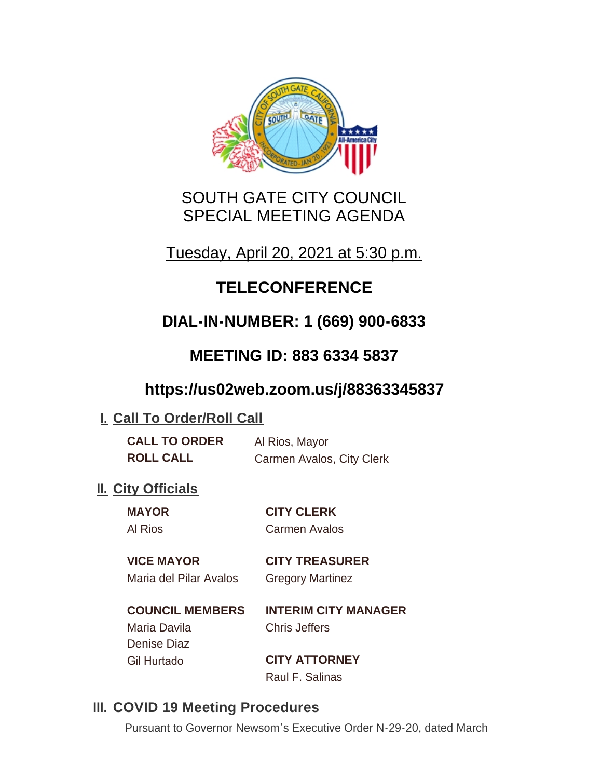

## SOUTH GATE CITY COUNCIL SPECIAL MEETING AGENDA

Tuesday, April 20, 2021 at 5:30 p.m.

# **TELECONFERENCE**

# **DIAL-IN-NUMBER: 1 (669) 900-6833**

## **MEETING ID: 883 6334 5837**

## **https://us02web.zoom.us/j/88363345837**

### **I. Call To Order/Roll Call**

| <b>CALL TO ORDER</b> | Al Rios, Mayor            |
|----------------------|---------------------------|
| <b>ROLL CALL</b>     | Carmen Avalos, City Clerk |

### **II.** City Officials

**MAYOR CITY CLERK** Al Rios Carmen Avalos

### **VICE MAYOR CITY TREASURER**

Maria del Pilar Avalos Gregory Martinez

**COUNCIL MEMBERS INTERIM CITY MANAGER** Maria Davila Chris Jeffers Denise Diaz Gil Hurtado **CITY ATTORNEY**

Raul F. Salinas

### **III. COVID 19 Meeting Procedures**

Pursuant to Governor Newsom's Executive Order N-29-20, dated March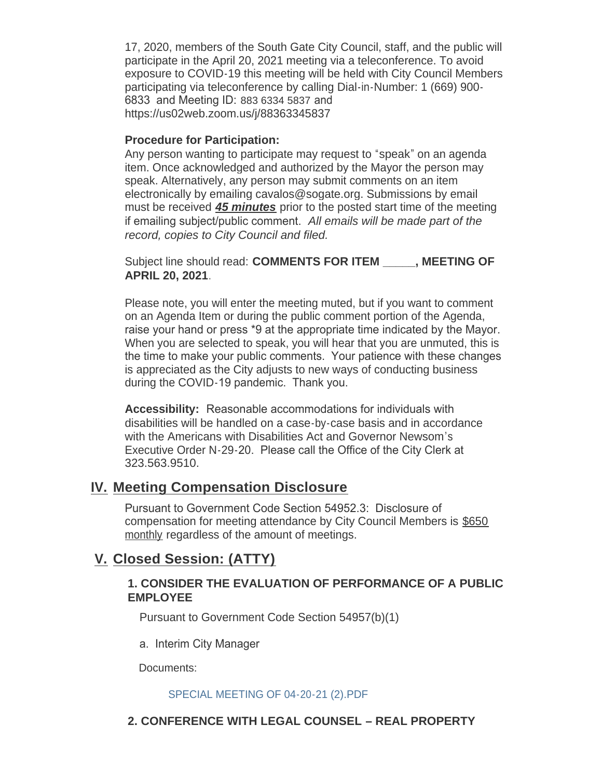17, 2020, members of the South Gate City Council, staff, and the public will participate in the April 20, 2021 meeting via a teleconference. To avoid exposure to COVID-19 this meeting will be held with City Council Members participating via teleconference by calling Dial-in-Number: 1 (669) 900- 6833 and Meeting ID: 883 6334 5837 and https://us02web.zoom.us/j/88363345837

#### **Procedure for Participation:**

Any person wanting to participate may request to "speak" on an agenda item. Once acknowledged and authorized by the Mayor the person may speak. Alternatively, any person may submit comments on an item electronically by emailing cavalos@sogate.org. Submissions by email must be received *45 minutes* prior to the posted start time of the meeting if emailing subject/public comment. *All emails will be made part of the record, copies to City Council and filed.*

Subject line should read: **COMMENTS FOR ITEM \_\_\_\_\_, MEETING OF APRIL 20, 2021**.

Please note, you will enter the meeting muted, but if you want to comment on an Agenda Item or during the public comment portion of the Agenda, raise your hand or press \*9 at the appropriate time indicated by the Mayor. When you are selected to speak, you will hear that you are unmuted, this is the time to make your public comments. Your patience with these changes is appreciated as the City adjusts to new ways of conducting business during the COVID-19 pandemic. Thank you.

**Accessibility:** Reasonable accommodations for individuals with disabilities will be handled on a case-by-case basis and in accordance with the Americans with Disabilities Act and Governor Newsom's Executive Order N-29-20. Please call the Office of the City Clerk at 323.563.9510.

### **Meeting Compensation Disclosure IV.**

Pursuant to Government Code Section 54952.3: Disclosure of compensation for meeting attendance by City Council Members is \$650 monthly regardless of the amount of meetings.

### **Closed Session: (ATTY) V.**

### **1. CONSIDER THE EVALUATION OF PERFORMANCE OF A PUBLIC EMPLOYEE**

Pursuant to Government Code Section 54957(b)(1)

a. Interim City Manager

Documents:

#### SPECIAL MEETING OF 04-20-21 (2).PDF

### **2. CONFERENCE WITH LEGAL COUNSEL – REAL PROPERTY**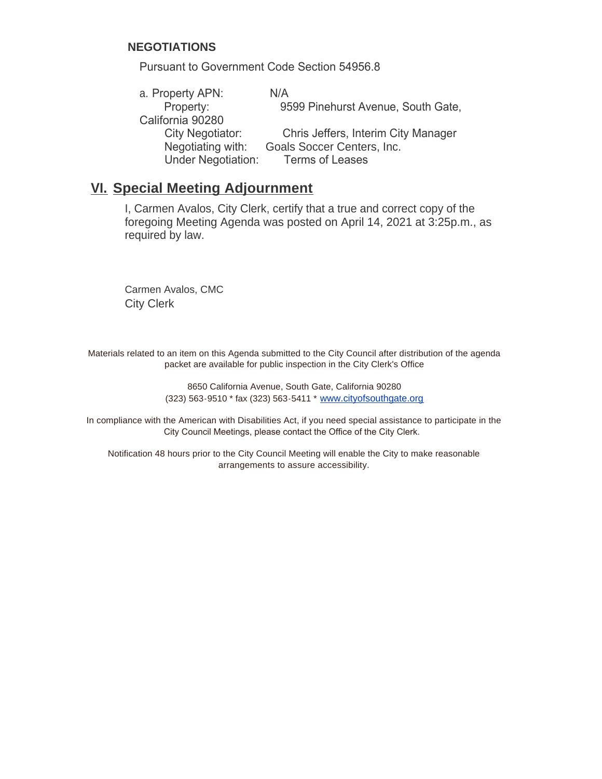#### **NEGOTIATIONS**

Pursuant to Government Code Section 54956.8

| a. Property APN:          | N/A                                 |
|---------------------------|-------------------------------------|
| Property:                 | 9599 Pinehurst Avenue, South Gate,  |
| California 90280          |                                     |
| City Negotiator:          | Chris Jeffers, Interim City Manager |
| Negotiating with:         | Goals Soccer Centers, Inc.          |
| <b>Under Negotiation:</b> | <b>Terms of Leases</b>              |

### **Special Meeting Adjournment VI.**

I, Carmen Avalos, City Clerk, certify that a true and correct copy of the foregoing Meeting Agenda was posted on April 14, 2021 at 3:25p.m., as required by law.

Carmen Avalos, CMC City Clerk

Materials related to an item on this Agenda submitted to the City Council after distribution of the agenda packet are available for public inspection in the City Clerk's Office

> 8650 California Avenue, South Gate, California 90280 (323) 563-9510 \* fax (323) 563-5411 \* [www.cityofsouthgate.org](http://www.cityofsouthgate.org/)

In compliance with the American with Disabilities Act, if you need special assistance to participate in the City Council Meetings, please contact the Office of the City Clerk.

Notification 48 hours prior to the City Council Meeting will enable the City to make reasonable arrangements to assure accessibility.